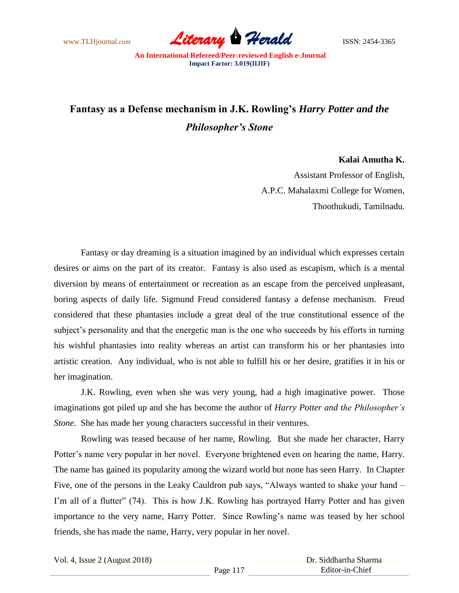www.TLHjournal.com **Literary Herald Herald** ISSN: 2454-3365

## **Fantasy as a Defense mechanism in J.K. Rowling's** *Harry Potter and the Philosopher's Stone*

## **Kalai Amutha K.**

Assistant Professor of English, A.P.C. Mahalaxmi College for Women, Thoothukudi, Tamilnadu.

Fantasy or day dreaming is a situation imagined by an individual which expresses certain desires or aims on the part of its creator. Fantasy is also used as escapism, which is a mental diversion by means of entertainment or recreation as an escape from the perceived unpleasant, boring aspects of daily life. Sigmund Freud considered fantasy a defense mechanism. Freud considered that these phantasies include a great deal of the true constitutional essence of the subject's personality and that the energetic man is the one who succeeds by his efforts in turning his wishful phantasies into reality whereas an artist can transform his or her phantasies into artistic creation. Any individual, who is not able to fulfill his or her desire, gratifies it in his or her imagination.

J.K. Rowling, even when she was very young, had a high imaginative power. Those imaginations got piled up and she has become the author of *Harry Potter and the Philosopher's Stone*. She has made her young characters successful in their ventures.

Rowling was teased because of her name, Rowling. But she made her character, Harry Potter's name very popular in her novel. Everyone brightened even on hearing the name, Harry. The name has gained its popularity among the wizard world but none has seen Harry. In Chapter Five, one of the persons in the Leaky Cauldron pub says, "Always wanted to shake your hand – I'm all of a flutter" (74). This is how J.K. Rowling has portrayed Harry Potter and has given importance to the very name, Harry Potter. Since Rowling's name was teased by her school friends, she has made the name, Harry, very popular in her novel.

Vol. 4, Issue 2 (August 2018)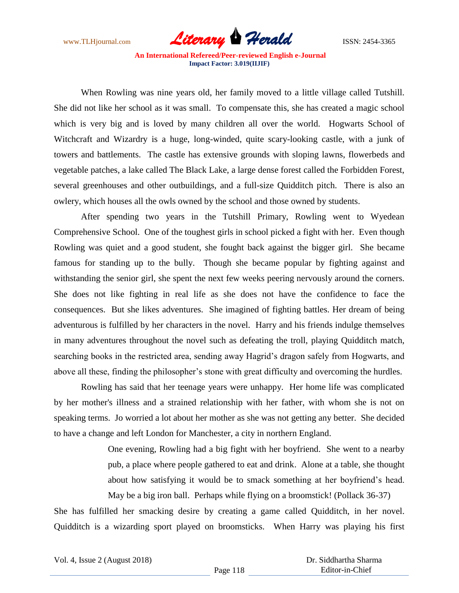www.TLHjournal.com **Literary Herald Herald** ISSN: 2454-3365

When Rowling was nine years old, her family moved to a little village called Tutshill. She did not like her school as it was small. To compensate this, she has created a magic school which is very big and is loved by many children all over the world. Hogwarts School of Witchcraft and Wizardry is a huge, long-winded, quite scary-looking castle, with a junk of towers and battlements. The castle has extensive grounds with sloping lawns, flowerbeds and vegetable patches, a lake called The Black Lake, a large dense forest called the Forbidden Forest, several greenhouses and other outbuildings, and a full-size Quidditch pitch. There is also an owlery, which houses all the owls owned by the school and those owned by students.

After spending two years in the Tutshill Primary, Rowling went to Wyedean Comprehensive School. One of the toughest girls in school picked a fight with her. Even though Rowling was quiet and a good student, she fought back against the bigger girl. She became famous for standing up to the bully. Though she became popular by fighting against and withstanding the senior girl, she spent the next few weeks peering nervously around the corners. She does not like fighting in real life as she does not have the confidence to face the consequences. But she likes adventures. She imagined of fighting battles. Her dream of being adventurous is fulfilled by her characters in the novel. Harry and his friends indulge themselves in many adventures throughout the novel such as defeating the troll, playing Quidditch match, searching books in the restricted area, sending away Hagrid's dragon safely from Hogwarts, and above all these, finding the philosopher's stone with great difficulty and overcoming the hurdles.

Rowling has said that her teenage years were unhappy. Her home life was complicated by her mother's illness and a strained relationship with her father, with whom she is not on speaking terms. Jo worried a lot about her mother as she was not getting any better. She decided to have a change and left London for Manchester, a city in northern England.

> One evening, Rowling had a big fight with her boyfriend. She went to a nearby pub, a place where people gathered to eat and drink. Alone at a table, she thought about how satisfying it would be to smack something at her boyfriend's head. May be a big iron ball. Perhaps while flying on a broomstick! (Pollack 36-37)

She has fulfilled her smacking desire by creating a game called Quidditch, in her novel. Quidditch is a wizarding sport played on broomsticks. When Harry was playing his first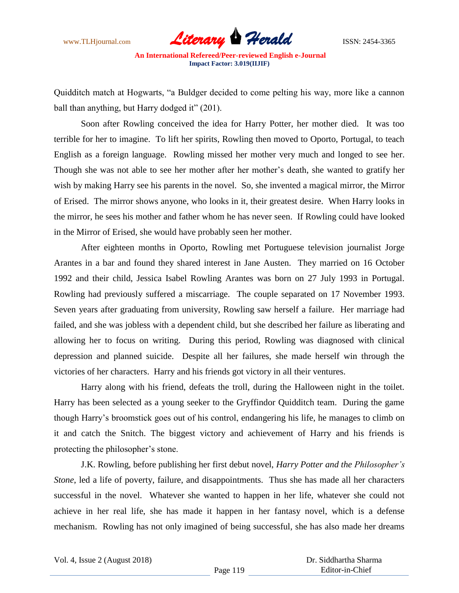

Quidditch match at Hogwarts, "a Buldger decided to come pelting his way, more like a cannon ball than anything, but Harry dodged it" (201).

Soon after Rowling conceived the idea for Harry Potter, her mother died. It was too terrible for her to imagine. To lift her spirits, Rowling then moved to Oporto, Portugal, to teach English as a foreign language. Rowling missed her mother very much and longed to see her. Though she was not able to see her mother after her mother's death, she wanted to gratify her wish by making Harry see his parents in the novel. So, she invented a magical mirror, the Mirror of Erised. The mirror shows anyone, who looks in it, their greatest desire. When Harry looks in the mirror, he sees his mother and father whom he has never seen. If Rowling could have looked in the Mirror of Erised, she would have probably seen her mother.

After eighteen months in Oporto, Rowling met Portuguese television journalist Jorge Arantes in a bar and found they shared interest in Jane Austen. They married on 16 October 1992 and their child, Jessica Isabel Rowling Arantes was born on 27 July 1993 in Portugal. Rowling had previously suffered a miscarriage. The couple separated on 17 November 1993. Seven years after graduating from university, Rowling saw herself a failure. Her marriage had failed, and she was jobless with a dependent child, but she described her failure as liberating and allowing her to focus on writing. During this period, Rowling was diagnosed with clinical depression and planned suicide. Despite all her failures, she made herself win through the victories of her characters. Harry and his friends got victory in all their ventures.

Harry along with his friend, defeats the troll, during the Halloween night in the toilet. Harry has been selected as a young seeker to the Gryffindor Quidditch team. During the game though Harry's broomstick goes out of his control, endangering his life, he manages to climb on it and catch the Snitch. The biggest victory and achievement of Harry and his friends is protecting the philosopher's stone.

J.K. Rowling, before publishing her first debut novel, *Harry Potter and the Philosopher's Stone*, led a life of poverty, failure, and disappointments. Thus she has made all her characters successful in the novel. Whatever she wanted to happen in her life, whatever she could not achieve in her real life, she has made it happen in her fantasy novel, which is a defense mechanism. Rowling has not only imagined of being successful, she has also made her dreams